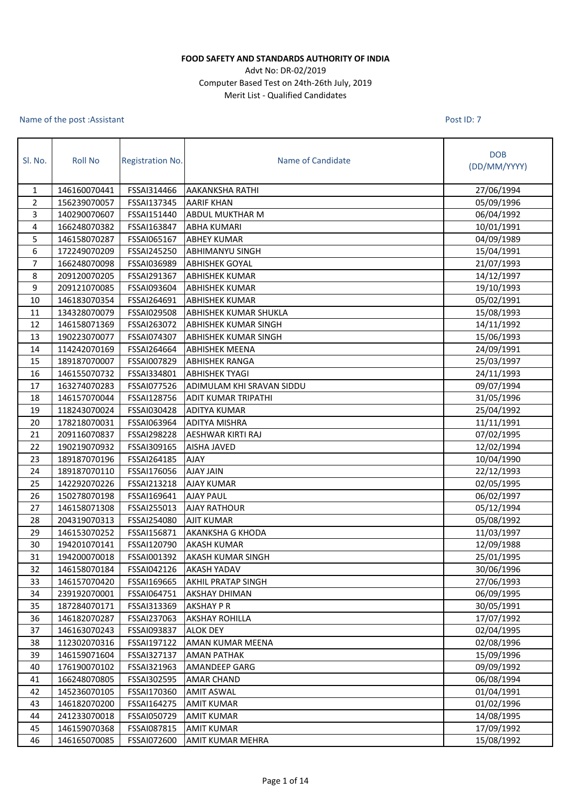## **FOOD SAFETY AND STANDARDS AUTHORITY OF INDIA**

## Advt No: DR-02/2019 Computer Based Test on 24th-26th July, 2019 Merit List - Qualified Candidates

## Name of the post :Assistant

Post ID: 7

| SI. No. | <b>Roll No</b> | <b>Registration No.</b> | Name of Candidate            | <b>DOB</b><br>(DD/MM/YYYY) |
|---------|----------------|-------------------------|------------------------------|----------------------------|
| 1       | 146160070441   | FSSAI314466             | <b>AAKANKSHA RATHI</b>       | 27/06/1994                 |
| 2       | 156239070057   | FSSAI137345             | <b>AARIF KHAN</b>            | 05/09/1996                 |
| 3       | 140290070607   | FSSAI151440             | <b>ABDUL MUKTHAR M</b>       | 06/04/1992                 |
| 4       | 166248070382   | FSSAI163847             | <b>ABHA KUMARI</b>           | 10/01/1991                 |
| 5       | 146158070287   | FSSAI065167             | <b>ABHEY KUMAR</b>           | 04/09/1989                 |
| 6       | 172249070209   | FSSAI245250             | <b>ABHIMANYU SINGH</b>       | 15/04/1991                 |
| 7       | 166248070098   | FSSAI036989             | <b>ABHISHEK GOYAL</b>        | 21/07/1993                 |
| 8       | 209120070205   | FSSAI291367             | <b>ABHISHEK KUMAR</b>        | 14/12/1997                 |
| 9       | 209121070085   | FSSAI093604             | <b>ABHISHEK KUMAR</b>        | 19/10/1993                 |
| 10      | 146183070354   | FSSAI264691             | <b>ABHISHEK KUMAR</b>        | 05/02/1991                 |
| 11      | 134328070079   | FSSAI029508             | <b>ABHISHEK KUMAR SHUKLA</b> | 15/08/1993                 |
| 12      | 146158071369   | FSSAI263072             | <b>ABHISHEK KUMAR SINGH</b>  | 14/11/1992                 |
| 13      | 190223070077   | FSSAI074307             | <b>ABHISHEK KUMAR SINGH</b>  | 15/06/1993                 |
| 14      | 114242070169   | FSSAI264664             | <b>ABHISHEK MEENA</b>        | 24/09/1991                 |
| 15      | 189187070007   | FSSAI007829             | <b>ABHISHEK RANGA</b>        | 25/03/1997                 |
| 16      | 146155070732   | FSSAI334801             | <b>ABHISHEK TYAGI</b>        | 24/11/1993                 |
| 17      | 163274070283   | FSSAI077526             | ADIMULAM KHI SRAVAN SIDDU    | 09/07/1994                 |
| 18      | 146157070044   | FSSAI128756             | <b>ADIT KUMAR TRIPATHI</b>   | 31/05/1996                 |
| 19      | 118243070024   | FSSAI030428             | <b>ADITYA KUMAR</b>          | 25/04/1992                 |
| 20      | 178218070031   | FSSAI063964             | <b>ADITYA MISHRA</b>         | 11/11/1991                 |
| 21      | 209116070837   | FSSAI298228             | AESHWAR KIRTI RAJ            | 07/02/1995                 |
| 22      | 190219070932   | FSSAI309165             | <b>AISHA JAVED</b>           | 12/02/1994                 |
| 23      | 189187070196   | FSSAI264185             | <b>AJAY</b>                  | 10/04/1990                 |
| 24      | 189187070110   | FSSAI176056             | <b>AJAY JAIN</b>             | 22/12/1993                 |
| 25      | 142292070226   | FSSAI213218             | <b>AJAY KUMAR</b>            | 02/05/1995                 |
| 26      | 150278070198   | FSSAI169641             | <b>AJAY PAUL</b>             | 06/02/1997                 |
| 27      | 146158071308   | FSSAI255013             | <b>AJAY RATHOUR</b>          | 05/12/1994                 |
| 28      | 204319070313   | FSSAI254080             | <b>AJIT KUMAR</b>            | 05/08/1992                 |
| 29      | 146153070252   | FSSAI156871             | <b>AKANKSHA G KHODA</b>      | 11/03/1997                 |
| 30      | 194201070141   | FSSAI120790             | <b>AKASH KUMAR</b>           | 12/09/1988                 |
| 31      | 194200070018   | FSSAI001392             | <b>AKASH KUMAR SINGH</b>     | 25/01/1995                 |
| 32      | 146158070184   |                         | FSSAI042126 AKASH YADAV      | 30/06/1996                 |
| 33      | 146157070420   | FSSAI169665             | <b>AKHIL PRATAP SINGH</b>    | 27/06/1993                 |
| 34      | 239192070001   | FSSAI064751             | <b>AKSHAY DHIMAN</b>         | 06/09/1995                 |
| 35      | 187284070171   | FSSAI313369             | <b>AKSHAY P R</b>            | 30/05/1991                 |
| 36      | 146182070287   | FSSAI237063             | <b>AKSHAY ROHILLA</b>        | 17/07/1992                 |
| 37      | 146163070243   | FSSAI093837             | <b>ALOK DEY</b>              | 02/04/1995                 |
| 38      | 112302070316   | FSSAI197122             | AMAN KUMAR MEENA             | 02/08/1996                 |
| 39      | 146159071604   | FSSAI327137             | <b>AMAN PATHAK</b>           | 15/09/1996                 |
| 40      | 176190070102   | FSSAI321963             | <b>AMANDEEP GARG</b>         | 09/09/1992                 |
| 41      | 166248070805   | FSSAI302595             | <b>AMAR CHAND</b>            | 06/08/1994                 |
| 42      | 145236070105   | FSSAI170360             | <b>AMIT ASWAL</b>            | 01/04/1991                 |
| 43      | 146182070200   | FSSAI164275             | <b>AMIT KUMAR</b>            | 01/02/1996                 |
| 44      | 241233070018   | FSSAI050729             | <b>AMIT KUMAR</b>            | 14/08/1995                 |
| 45      | 146159070368   | FSSAI087815             | <b>AMIT KUMAR</b>            | 17/09/1992                 |
| 46      | 146165070085   | FSSAI072600             | <b>AMIT KUMAR MEHRA</b>      | 15/08/1992                 |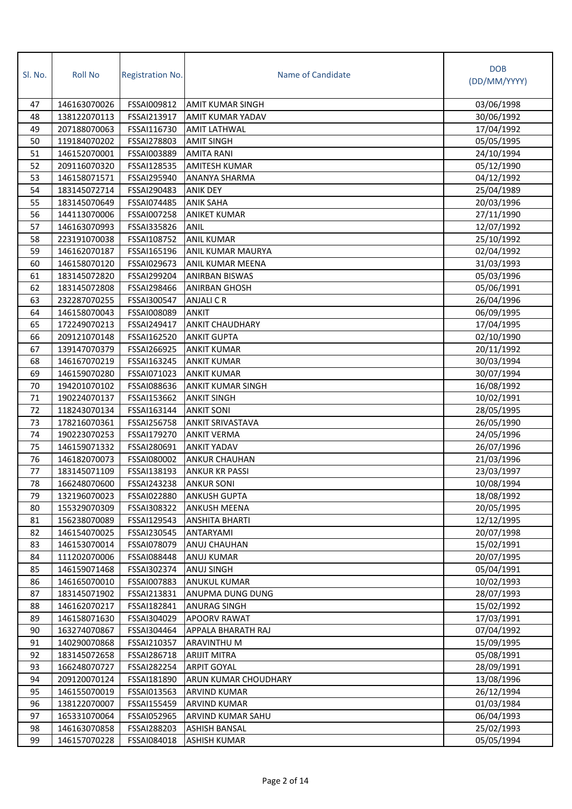| SI. No.  | <b>Roll No</b>               | <b>Registration No.</b>    | Name of Candidate                  | <b>DOB</b><br>(DD/MM/YYYY) |
|----------|------------------------------|----------------------------|------------------------------------|----------------------------|
| 47       | 146163070026                 | FSSAI009812                | <b>AMIT KUMAR SINGH</b>            | 03/06/1998                 |
| 48       | 138122070113                 | FSSAI213917                | <b>AMIT KUMAR YADAV</b>            | 30/06/1992                 |
| 49       | 207188070063                 | FSSAI116730                | <b>AMIT LATHWAL</b>                | 17/04/1992                 |
| 50       | 119184070202                 | FSSAI278803                | <b>AMIT SINGH</b>                  | 05/05/1995                 |
| 51       | 146152070001                 | FSSAI003889                | <b>AMITA RANI</b>                  | 24/10/1994                 |
| 52       | 209116070320                 | FSSAI128535                | <b>AMITESH KUMAR</b>               | 05/12/1990                 |
| 53       | 146158071571                 | FSSAI295940                | ANANYA SHARMA                      | 04/12/1992                 |
| 54       | 183145072714                 | FSSAI290483                | <b>ANIK DEY</b>                    | 25/04/1989                 |
| 55       | 183145070649                 | FSSAI074485                | <b>ANIK SAHA</b>                   | 20/03/1996                 |
| 56       | 144113070006                 | FSSAI007258                | <b>ANIKET KUMAR</b>                | 27/11/1990                 |
| 57       | 146163070993                 | FSSAI335826                | <b>ANIL</b>                        | 12/07/1992                 |
| 58       | 223191070038                 | FSSAI108752                | <b>ANIL KUMAR</b>                  | 25/10/1992                 |
| 59       | 146162070187                 | FSSAI165196                | ANIL KUMAR MAURYA                  | 02/04/1992                 |
| 60       | 146158070120                 | FSSAI029673                | ANIL KUMAR MEENA                   | 31/03/1993                 |
| 61       | 183145072820                 | FSSAI299204                | <b>ANIRBAN BISWAS</b>              | 05/03/1996                 |
| 62       | 183145072808                 | FSSAI298466                | <b>ANIRBAN GHOSH</b>               | 05/06/1991                 |
| 63       | 232287070255                 | FSSAI300547                | <b>ANJALICR</b>                    | 26/04/1996                 |
| 64       | 146158070043                 | FSSAI008089                | <b>ANKIT</b>                       | 06/09/1995                 |
| 65       | 172249070213                 | FSSAI249417                | <b>ANKIT CHAUDHARY</b>             | 17/04/1995                 |
| 66       | 209121070148                 | FSSAI162520                | <b>ANKIT GUPTA</b>                 | 02/10/1990                 |
| 67       | 139147070379                 | FSSAI266925                | <b>ANKIT KUMAR</b>                 | 20/11/1992                 |
| 68       | 146167070219                 | FSSAI163245                | <b>ANKIT KUMAR</b>                 | 30/03/1994                 |
| 69       | 146159070280                 | FSSAI071023                | <b>ANKIT KUMAR</b>                 | 30/07/1994                 |
| 70       | 194201070102                 | FSSAI088636                | <b>ANKIT KUMAR SINGH</b>           | 16/08/1992                 |
| 71       | 190224070137                 | FSSAI153662                | <b>ANKIT SINGH</b>                 | 10/02/1991                 |
| 72       | 118243070134                 | FSSAI163144                | <b>ANKIT SONI</b>                  | 28/05/1995                 |
| 73       | 178216070361                 | FSSAI256758                | <b>ANKIT SRIVASTAVA</b>            | 26/05/1990                 |
| 74       | 190223070253                 | FSSAI179270                | <b>ANKIT VERMA</b>                 | 24/05/1996                 |
| 75       | 146159071332                 | FSSAI280691                | <b>ANKIT YADAV</b>                 | 26/07/1996                 |
| 76       | 146182070073                 | <b>FSSAI080002</b>         | <b>ANKUR CHAUHAN</b>               | 21/03/1996                 |
| 77       | 183145071109                 | FSSAI138193                | <b>ANKUR KR PASSI</b>              | 23/03/1997                 |
| 78       | 166248070600                 | FSSAI243238                | <b>ANKUR SONI</b>                  | 10/08/1994                 |
| 79       | 132196070023                 | FSSAI022880                | <b>ANKUSH GUPTA</b>                | 18/08/1992                 |
| 80       | 155329070309                 | FSSAI308322                | <b>ANKUSH MEENA</b>                | 20/05/1995                 |
| 81       | 156238070089                 | FSSAI129543                | <b>ANSHITA BHARTI</b>              | 12/12/1995                 |
| 82       | 146154070025                 | FSSAI230545                | ANTARYAMI                          | 20/07/1998                 |
| 83       | 146153070014                 | FSSAI078079                | ANUJ CHAUHAN                       | 15/02/1991                 |
| 84       | 111202070006                 | FSSAI088448                | ANUJ KUMAR                         | 20/07/1995                 |
| 85       | 146159071468                 | FSSAI302374                | ANUJ SINGH                         | 05/04/1991                 |
| 86       | 146165070010                 | FSSAI007883                | <b>ANUKUL KUMAR</b>                | 10/02/1993                 |
| 87       | 183145071902                 | FSSAI213831                | ANUPMA DUNG DUNG                   | 28/07/1993                 |
| 88       | 146162070217                 | FSSAI182841                | <b>ANURAG SINGH</b>                | 15/02/1992                 |
| 89<br>90 | 146158071630                 | FSSAI304029                | <b>APOORV RAWAT</b>                | 17/03/1991                 |
|          | 163274070867                 | FSSAI304464                | APPALA BHARATH RAJ                 | 07/04/1992                 |
| 91<br>92 | 140290070868<br>183145072658 | FSSAI210357<br>FSSAI286718 | ARAVINTHU M<br><b>ARIJIT MITRA</b> | 15/09/1995<br>05/08/1991   |
| 93       | 166248070727                 | FSSAI282254                | <b>ARPIT GOYAL</b>                 | 28/09/1991                 |
| 94       | 209120070124                 | FSSAI181890                | ARUN KUMAR CHOUDHARY               | 13/08/1996                 |
| 95       | 146155070019                 | FSSAI013563                | <b>ARVIND KUMAR</b>                | 26/12/1994                 |
| 96       | 138122070007                 | FSSAI155459                | <b>ARVIND KUMAR</b>                | 01/03/1984                 |
| 97       | 165331070064                 | FSSAI052965                | ARVIND KUMAR SAHU                  | 06/04/1993                 |
| 98       | 146163070858                 | FSSAI288203                | <b>ASHISH BANSAL</b>               | 25/02/1993                 |
| 99       | 146157070228                 | FSSAI084018                | <b>ASHISH KUMAR</b>                | 05/05/1994                 |
|          |                              |                            |                                    |                            |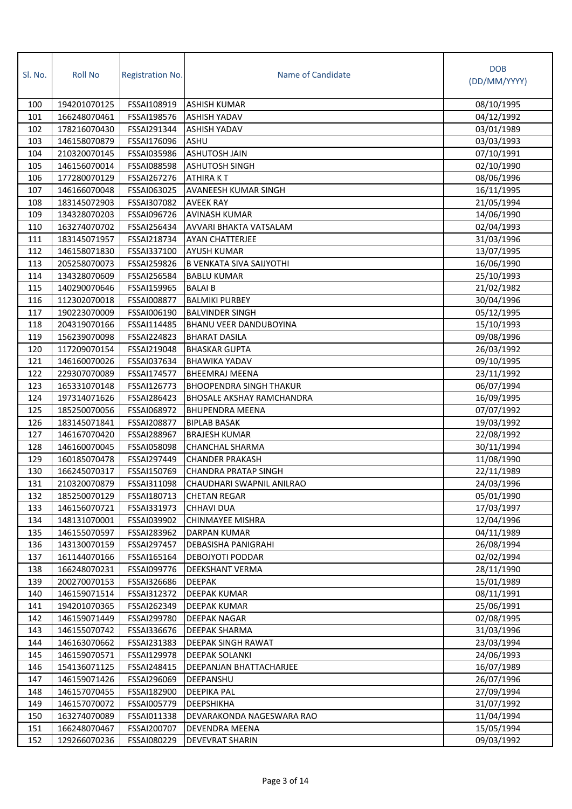| Sl. No. | <b>Roll No</b> | <b>Registration No.</b> | Name of Candidate                | <b>DOB</b><br>(DD/MM/YYYY) |
|---------|----------------|-------------------------|----------------------------------|----------------------------|
| 100     | 194201070125   | FSSAI108919             | <b>ASHISH KUMAR</b>              | 08/10/1995                 |
| 101     | 166248070461   | FSSAI198576             | <b>ASHISH YADAV</b>              | 04/12/1992                 |
| 102     | 178216070430   | FSSAI291344             | <b>ASHISH YADAV</b>              | 03/01/1989                 |
| 103     | 146158070879   | FSSAI176096             | <b>ASHU</b>                      | 03/03/1993                 |
| 104     | 210320070145   | FSSAI035986             | <b>ASHUTOSH JAIN</b>             | 07/10/1991                 |
| 105     | 146156070014   | FSSAI088598             | <b>ASHUTOSH SINGH</b>            | 02/10/1990                 |
| 106     | 177280070129   | FSSAI267276             | <b>ATHIRAKT</b>                  | 08/06/1996                 |
| 107     | 146166070048   | FSSAI063025             | <b>AVANEESH KUMAR SINGH</b>      | 16/11/1995                 |
| 108     | 183145072903   | FSSAI307082             | <b>AVEEK RAY</b>                 | 21/05/1994                 |
| 109     | 134328070203   | FSSAI096726             | <b>AVINASH KUMAR</b>             | 14/06/1990                 |
| 110     | 163274070702   | FSSAI256434             | AVVARI BHAKTA VATSALAM           | 02/04/1993                 |
| 111     | 183145071957   | FSSAI218734             | <b>AYAN CHATTERJEE</b>           | 31/03/1996                 |
| 112     | 146158071830   | FSSAI337100             | <b>AYUSH KUMAR</b>               | 13/07/1995                 |
| 113     | 205258070073   | FSSAI259826             | <b>B VENKATA SIVA SAIJYOTHI</b>  | 16/06/1990                 |
| 114     | 134328070609   | FSSAI256584             | <b>BABLU KUMAR</b>               | 25/10/1993                 |
| 115     | 140290070646   | FSSAI159965             | <b>BALAIB</b>                    | 21/02/1982                 |
| 116     | 112302070018   | FSSAI008877             | <b>BALMIKI PURBEY</b>            | 30/04/1996                 |
| 117     | 190223070009   | FSSAI006190             | <b>BALVINDER SINGH</b>           | 05/12/1995                 |
| 118     | 204319070166   | FSSAI114485             | <b>BHANU VEER DANDUBOYINA</b>    | 15/10/1993                 |
| 119     | 156239070098   | FSSAI224823             | <b>BHARAT DASILA</b>             | 09/08/1996                 |
| 120     | 117209070154   | FSSAI219048             | <b>BHASKAR GUPTA</b>             | 26/03/1992                 |
| 121     | 146160070026   | FSSAI037634             | <b>BHAWIKA YADAV</b>             | 09/10/1995                 |
| 122     | 229307070089   | FSSAI174577             | <b>BHEEMRAJ MEENA</b>            | 23/11/1992                 |
| 123     | 165331070148   | FSSAI126773             | <b>BHOOPENDRA SINGH THAKUR</b>   | 06/07/1994                 |
| 124     | 197314071626   | FSSAI286423             | <b>BHOSALE AKSHAY RAMCHANDRA</b> | 16/09/1995                 |
| 125     | 185250070056   | FSSAI068972             | <b>BHUPENDRA MEENA</b>           | 07/07/1992                 |
| 126     | 183145071841   | FSSAI208877             | <b>BIPLAB BASAK</b>              | 19/03/1992                 |
| 127     | 146167070420   | FSSAI288967             | <b>BRAJESH KUMAR</b>             | 22/08/1992                 |
| 128     | 146160070045   | FSSAI058098             | CHANCHAL SHARMA                  | 30/11/1994                 |
| 129     | 160185070478   | FSSAI297449             | <b>CHANDER PRAKASH</b>           | 11/08/1990                 |
| 130     | 166245070317   | FSSAI150769             | <b>CHANDRA PRATAP SINGH</b>      | 22/11/1989                 |
| 131     | 210320070879   | FSSAI311098             | CHAUDHARI SWAPNIL ANILRAO        | 24/03/1996                 |
| 132     | 185250070129   | FSSAI180713             | <b>CHETAN REGAR</b>              | 05/01/1990                 |
| 133     | 146156070721   | FSSAI331973             | <b>CHHAVI DUA</b>                | 17/03/1997                 |
| 134     | 148131070001   | FSSAI039902             | <b>CHINMAYEE MISHRA</b>          | 12/04/1996                 |
| 135     | 146155070597   | FSSAI283962             | DARPAN KUMAR                     | 04/11/1989                 |
| 136     | 143130070159   | FSSAI297457             | DEBASISHA PANIGRAHI              | 26/08/1994                 |
| 137     | 161144070166   | FSSAI165164             | <b>DEBOJYOTI PODDAR</b>          | 02/02/1994                 |
| 138     | 166248070231   | FSSAI099776             | DEEKSHANT VERMA                  | 28/11/1990                 |
| 139     | 200270070153   | FSSAI326686             | <b>DEEPAK</b>                    | 15/01/1989                 |
| 140     | 146159071514   | FSSAI312372             | DEEPAK KUMAR                     | 08/11/1991                 |
| 141     | 194201070365   | FSSAI262349             | <b>DEEPAK KUMAR</b>              | 25/06/1991                 |
| 142     | 146159071449   | FSSAI299780             | <b>DEEPAK NAGAR</b>              | 02/08/1995                 |
| 143     | 146155070742   | FSSAI336676             | <b>DEEPAK SHARMA</b>             | 31/03/1996                 |
| 144     | 146163070662   | FSSAI231383             | DEEPAK SINGH RAWAT               | 23/03/1994                 |
| 145     | 146159070571   | FSSAI129978             | <b>DEEPAK SOLANKI</b>            | 24/06/1993                 |
| 146     | 154136071125   | FSSAI248415             | DEEPANJAN BHATTACHARJEE          | 16/07/1989                 |
| 147     | 146159071426   | FSSAI296069             | DEEPANSHU                        | 26/07/1996                 |
| 148     | 146157070455   | FSSAI182900             | DEEPIKA PAL                      | 27/09/1994                 |
| 149     | 146157070072   | FSSAI005779             | <b>DEEPSHIKHA</b>                | 31/07/1992                 |
| 150     | 163274070089   | FSSAI011338             | DEVARAKONDA NAGESWARA RAO        | 11/04/1994                 |
| 151     | 166248070467   | FSSAI200707             | DEVENDRA MEENA                   | 15/05/1994                 |
| 152     | 129266070236   | FSSAI080229             | DEVEVRAT SHARIN                  | 09/03/1992                 |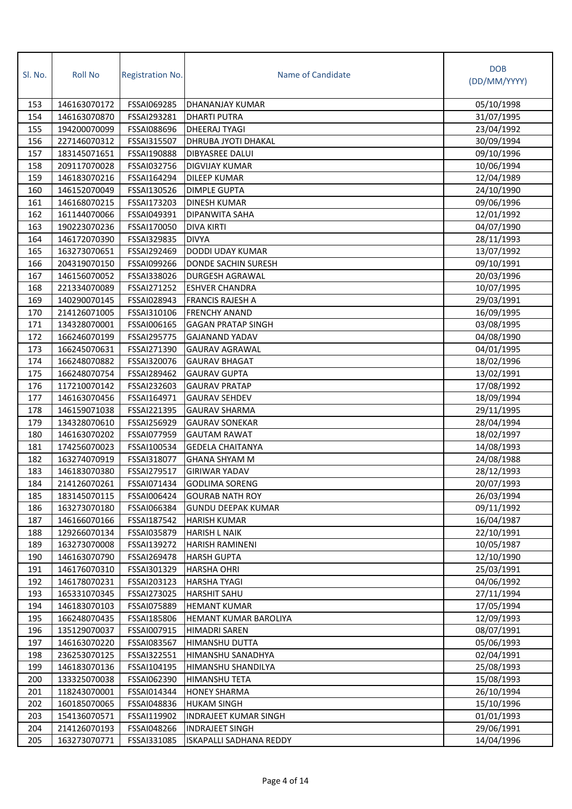| Sl. No. | <b>Roll No</b> | <b>Registration No.</b> | Name of Candidate              | <b>DOB</b><br>(DD/MM/YYYY) |
|---------|----------------|-------------------------|--------------------------------|----------------------------|
|         |                |                         |                                |                            |
| 153     | 146163070172   | FSSAI069285             | DHANANJAY KUMAR                | 05/10/1998                 |
| 154     | 146163070870   | FSSAI293281             | <b>DHARTI PUTRA</b>            | 31/07/1995                 |
| 155     | 194200070099   | FSSAI088696             | <b>DHEERAJ TYAGI</b>           | 23/04/1992                 |
| 156     | 227146070312   | FSSAI315507             | DHRUBA JYOTI DHAKAL            | 30/09/1994                 |
| 157     | 183145071651   | FSSAI190888             | DIBYASREE DALUI                | 09/10/1996                 |
| 158     | 209117070028   | FSSAI032756             | <b>DIGVIJAY KUMAR</b>          | 10/06/1994                 |
| 159     | 146183070216   | FSSAI164294             | <b>DILEEP KUMAR</b>            | 12/04/1989                 |
| 160     | 146152070049   | FSSAI130526             | <b>DIMPLE GUPTA</b>            | 24/10/1990                 |
| 161     | 146168070215   | FSSAI173203             | <b>DINESH KUMAR</b>            | 09/06/1996                 |
| 162     | 161144070066   | FSSAI049391             | DIPANWITA SAHA                 | 12/01/1992                 |
| 163     | 190223070236   | FSSAI170050             | <b>DIVA KIRTI</b>              | 04/07/1990                 |
| 164     | 146172070390   | FSSAI329835             | <b>DIVYA</b>                   | 28/11/1993                 |
| 165     | 163273070651   | FSSAI292469             | DODDI UDAY KUMAR               | 13/07/1992                 |
| 166     | 204319070150   | FSSAI099266             | DONDE SACHIN SURESH            | 09/10/1991                 |
| 167     | 146156070052   | FSSAI338026             | DURGESH AGRAWAL                | 20/03/1996                 |
| 168     | 221334070089   | FSSAI271252             | <b>ESHVER CHANDRA</b>          | 10/07/1995                 |
| 169     | 140290070145   | FSSAI028943             | <b>FRANCIS RAJESH A</b>        | 29/03/1991                 |
| 170     | 214126071005   | FSSAI310106             | <b>FRENCHY ANAND</b>           | 16/09/1995                 |
| 171     | 134328070001   | FSSAI006165             | <b>GAGAN PRATAP SINGH</b>      | 03/08/1995                 |
| 172     | 166246070199   | FSSAI295775             | <b>GAJANAND YADAV</b>          | 04/08/1990                 |
| 173     | 166245070631   | FSSAI271390             | <b>GAURAV AGRAWAL</b>          | 04/01/1995                 |
| 174     | 166248070882   | FSSAI320076             | <b>GAURAV BHAGAT</b>           | 18/02/1996                 |
| 175     | 166248070754   | FSSAI289462             | <b>GAURAV GUPTA</b>            | 13/02/1991                 |
| 176     | 117210070142   | FSSAI232603             | <b>GAURAV PRATAP</b>           | 17/08/1992                 |
| 177     | 146163070456   | FSSAI164971             | <b>GAURAV SEHDEV</b>           | 18/09/1994                 |
| 178     | 146159071038   | FSSAI221395             | <b>GAURAV SHARMA</b>           | 29/11/1995                 |
| 179     | 134328070610   | FSSAI256929             | <b>GAURAV SONEKAR</b>          | 28/04/1994                 |
| 180     | 146163070202   | FSSAI077959             | <b>GAUTAM RAWAT</b>            | 18/02/1997                 |
| 181     | 174256070023   | FSSAI100534             | <b>GEDELA CHAITANYA</b>        | 14/08/1993                 |
| 182     | 163274070919   | FSSAI318077             | <b>GHANA SHYAM M</b>           | 24/08/1988                 |
| 183     | 146183070380   | FSSAI279517             | <b>GIRIWAR YADAV</b>           | 28/12/1993                 |
| 184     | 214126070261   | FSSAI071434             | <b>GODLIMA SORENG</b>          | 20/07/1993                 |
| 185     | 183145070115   | FSSAI006424             | <b>GOURAB NATH ROY</b>         | 26/03/1994                 |
| 186     | 163273070180   | FSSAI066384             | <b>GUNDU DEEPAK KUMAR</b>      | 09/11/1992                 |
| 187     | 146166070166   | FSSAI187542             | <b>HARISH KUMAR</b>            | 16/04/1987                 |
| 188     | 129266070134   | FSSAI035879             | <b>HARISH L NAIK</b>           | 22/10/1991                 |
| 189     | 163273070008   | FSSAI139272             | HARISH RAMINENI                | 10/05/1987                 |
| 190     | 146163070790   | FSSAI269478             | <b>HARSH GUPTA</b>             | 12/10/1990                 |
| 191     | 146176070310   | FSSAI301329             | <b>HARSHA OHRI</b>             | 25/03/1991                 |
| 192     | 146178070231   | FSSAI203123             | <b>HARSHA TYAGI</b>            | 04/06/1992                 |
| 193     | 165331070345   | FSSAI273025             | <b>HARSHIT SAHU</b>            | 27/11/1994                 |
| 194     | 146183070103   | FSSAI075889             | <b>HEMANT KUMAR</b>            | 17/05/1994                 |
| 195     | 166248070435   | FSSAI185806             | HEMANT KUMAR BAROLIYA          | 12/09/1993                 |
| 196     | 135129070037   | FSSAI007915             | <b>HIMADRI SAREN</b>           | 08/07/1991                 |
| 197     | 146163070220   | FSSAI083567             | HIMANSHU DUTTA                 | 05/06/1993                 |
| 198     | 236253070125   | FSSAI322551             | HIMANSHU SANADHYA              | 02/04/1991                 |
| 199     | 146183070136   | FSSAI104195             | HIMANSHU SHANDILYA             | 25/08/1993                 |
| 200     | 133325070038   | FSSAI062390             | HIMANSHU TETA                  | 15/08/1993                 |
| 201     | 118243070001   | FSSAI014344             | <b>HONEY SHARMA</b>            | 26/10/1994                 |
| 202     | 160185070065   | FSSAI048836             | <b>HUKAM SINGH</b>             | 15/10/1996                 |
| 203     | 154136070571   | FSSAI119902             | <b>INDRAJEET KUMAR SINGH</b>   | 01/01/1993                 |
| 204     | 214126070193   | FSSAI048266             | <b>INDRAJEET SINGH</b>         | 29/06/1991                 |
| 205     | 163273070771   | FSSAI331085             | <b>ISKAPALLI SADHANA REDDY</b> | 14/04/1996                 |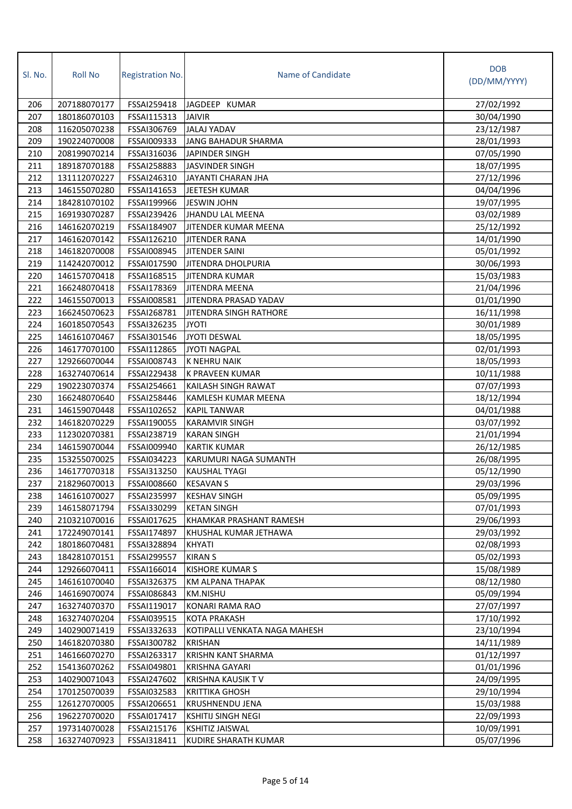| Sl. No. | <b>Roll No</b> | Registration No. | Name of Candidate             | <b>DOB</b>   |
|---------|----------------|------------------|-------------------------------|--------------|
|         |                |                  |                               | (DD/MM/YYYY) |
| 206     | 207188070177   | FSSAI259418      | JAGDEEP KUMAR                 | 27/02/1992   |
| 207     | 180186070103   | FSSAI115313      | <b>JAIVIR</b>                 | 30/04/1990   |
| 208     | 116205070238   | FSSAI306769      | <b>JALAJ YADAV</b>            | 23/12/1987   |
| 209     | 190224070008   | FSSAI009333      | JANG BAHADUR SHARMA           | 28/01/1993   |
| 210     | 208199070214   | FSSAI316036      | JAPINDER SINGH                | 07/05/1990   |
| 211     | 189187070188   | FSSAI258883      | <b>JASVINDER SINGH</b>        | 18/07/1995   |
| 212     | 131112070227   | FSSAI246310      | <b>JAYANTI CHARAN JHA</b>     | 27/12/1996   |
| 213     | 146155070280   | FSSAI141653      | <b>JEETESH KUMAR</b>          | 04/04/1996   |
| 214     | 184281070102   | FSSAI199966      | <b>JESWIN JOHN</b>            | 19/07/1995   |
| 215     | 169193070287   | FSSAI239426      | <b>JHANDU LAL MEENA</b>       | 03/02/1989   |
| 216     | 146162070219   | FSSAI184907      | JITENDER KUMAR MEENA          | 25/12/1992   |
| 217     | 146162070142   | FSSAI126210      | <b>JITENDER RANA</b>          | 14/01/1990   |
| 218     | 146182070008   | FSSAI008945      | <b>JITENDER SAINI</b>         | 05/01/1992   |
| 219     | 114242070012   | FSSAI017590      | <b>JITENDRA DHOLPURIA</b>     | 30/06/1993   |
| 220     | 146157070418   | FSSAI168515      | <b>JITENDRA KUMAR</b>         | 15/03/1983   |
| 221     | 166248070418   | FSSAI178369      | <b>JITENDRA MEENA</b>         | 21/04/1996   |
| 222     | 146155070013   | FSSAI008581      | JITENDRA PRASAD YADAV         | 01/01/1990   |
| 223     | 166245070623   | FSSAI268781      | <b>JITENDRA SINGH RATHORE</b> | 16/11/1998   |
| 224     | 160185070543   | FSSAI326235      | <b>JYOTI</b>                  | 30/01/1989   |
| 225     | 146161070467   | FSSAI301546      | <b>JYOTI DESWAL</b>           | 18/05/1995   |
| 226     | 146177070100   | FSSAI112865      | <b>JYOTI NAGPAL</b>           | 02/01/1993   |
| 227     | 129266070044   | FSSAI008743      | K NEHRU NAIK                  | 18/05/1993   |
| 228     | 163274070614   | FSSAI229438      | K PRAVEEN KUMAR               | 10/11/1988   |
| 229     | 190223070374   | FSSAI254661      | KAILASH SINGH RAWAT           | 07/07/1993   |
| 230     | 166248070640   | FSSAI258446      | KAMLESH KUMAR MEENA           | 18/12/1994   |
| 231     | 146159070448   | FSSAI102652      | <b>KAPIL TANWAR</b>           | 04/01/1988   |
| 232     | 146182070229   | FSSAI190055      | <b>KARAMVIR SINGH</b>         | 03/07/1992   |
| 233     | 112302070381   | FSSAI238719      | <b>KARAN SINGH</b>            | 21/01/1994   |
| 234     | 146159070044   | FSSAI009940      | <b>KARTIK KUMAR</b>           | 26/12/1985   |
| 235     | 153255070025   | FSSAI034223      | KARUMURI NAGA SUMANTH         | 26/08/1995   |
| 236     | 146177070318   | FSSAI313250      | <b>KAUSHAL TYAGI</b>          | 05/12/1990   |
| 237     | 218296070013   | FSSAI008660      | <b>KESAVAN S</b>              | 29/03/1996   |
| 238     | 146161070027   | FSSAI235997      | <b>KESHAV SINGH</b>           | 05/09/1995   |
| 239     | 146158071794   | FSSAI330299      | <b>KETAN SINGH</b>            | 07/01/1993   |
| 240     | 210321070016   | FSSAI017625      | KHAMKAR PRASHANT RAMESH       | 29/06/1993   |
| 241     | 172249070141   | FSSAI174897      | KHUSHAL KUMAR JETHAWA         | 29/03/1992   |
| 242     | 180186070481   | FSSAI328894      | KHYATI                        | 02/08/1993   |
| 243     | 184281070151   | FSSAI299557      | <b>KIRAN S</b>                | 05/02/1993   |
| 244     | 129266070411   | FSSAI166014      | <b>KISHORE KUMAR S</b>        | 15/08/1989   |
| 245     | 146161070040   | FSSAI326375      | KM ALPANA THAPAK              | 08/12/1980   |
| 246     | 146169070074   | FSSAI086843      | <b>KM.NISHU</b>               | 05/09/1994   |
| 247     | 163274070370   | FSSAI119017      | KONARI RAMA RAO               | 27/07/1997   |
| 248     | 163274070204   | FSSAI039515      | <b>KOTA PRAKASH</b>           | 17/10/1992   |
| 249     | 140290071419   | FSSAI332633      | KOTIPALLI VENKATA NAGA MAHESH | 23/10/1994   |
| 250     | 146182070380   | FSSAI300782      | <b>KRISHAN</b>                | 14/11/1989   |
| 251     | 146166070270   | FSSAI263317      | KRISHN KANT SHARMA            | 01/12/1997   |
| 252     | 154136070262   | FSSAI049801      | KRISHNA GAYARI                | 01/01/1996   |
| 253     | 140290071043   | FSSAI247602      | <b>KRISHNA KAUSIK TV</b>      | 24/09/1995   |
| 254     | 170125070039   | FSSAI032583      | <b>KRITTIKA GHOSH</b>         | 29/10/1994   |
| 255     | 126127070005   | FSSAI206651      | KRUSHNENDU JENA               | 15/03/1988   |
| 256     | 196227070020   | FSSAI017417      | <b>KSHITIJ SINGH NEGI</b>     | 22/09/1993   |
| 257     | 197314070028   | FSSAI215176      | <b>KSHITIZ JAISWAL</b>        | 10/09/1991   |
| 258     | 163274070923   | FSSAI318411      | KUDIRE SHARATH KUMAR          | 05/07/1996   |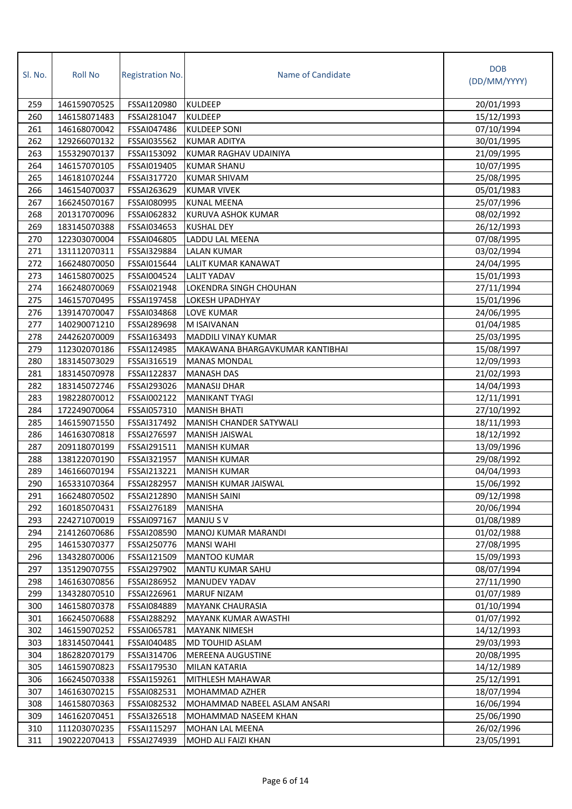| Sl. No. | <b>Roll No</b> | <b>Registration No.</b> | Name of Candidate               | <b>DOB</b><br>(DD/MM/YYYY) |
|---------|----------------|-------------------------|---------------------------------|----------------------------|
| 259     | 146159070525   | FSSAI120980             | <b>KULDEEP</b>                  | 20/01/1993                 |
| 260     | 146158071483   | FSSAI281047             | <b>KULDEEP</b>                  | 15/12/1993                 |
| 261     | 146168070042   | FSSAI047486             | <b>KULDEEP SONI</b>             | 07/10/1994                 |
| 262     | 129266070132   | FSSAI035562             | <b>KUMAR ADITYA</b>             | 30/01/1995                 |
| 263     | 155329070137   | FSSAI153092             | KUMAR RAGHAV UDAINIYA           | 21/09/1995                 |
| 264     | 146157070105   | FSSAI019405             | <b>KUMAR SHANU</b>              | 10/07/1995                 |
| 265     | 146181070244   | FSSAI317720             | <b>KUMAR SHIVAM</b>             | 25/08/1995                 |
| 266     | 146154070037   | FSSAI263629             | <b>KUMAR VIVEK</b>              | 05/01/1983                 |
| 267     | 166245070167   | FSSAI080995             | <b>KUNAL MEENA</b>              | 25/07/1996                 |
| 268     | 201317070096   | FSSAI062832             | KURUVA ASHOK KUMAR              | 08/02/1992                 |
| 269     | 183145070388   | FSSAI034653             | <b>KUSHAL DEY</b>               | 26/12/1993                 |
| 270     | 122303070004   | FSSAI046805             | LADDU LAL MEENA                 | 07/08/1995                 |
| 271     | 131112070311   | FSSAI329884             | <b>LALAN KUMAR</b>              | 03/02/1994                 |
| 272     | 166248070050   | FSSAI015644             | LALIT KUMAR KANAWAT             | 24/04/1995                 |
| 273     | 146158070025   | FSSAI004524             | <b>LALIT YADAV</b>              | 15/01/1993                 |
| 274     | 166248070069   | FSSAI021948             | <b>LOKENDRA SINGH CHOUHAN</b>   | 27/11/1994                 |
| 275     | 146157070495   | FSSAI197458             | <b>LOKESH UPADHYAY</b>          | 15/01/1996                 |
| 276     | 139147070047   | FSSAI034868             | <b>LOVE KUMAR</b>               | 24/06/1995                 |
| 277     | 140290071210   | FSSAI289698             | M ISAIVANAN                     | 01/04/1985                 |
| 278     | 244262070009   | FSSAI163493             | <b>MADDILI VINAY KUMAR</b>      | 25/03/1995                 |
| 279     | 112302070186   | FSSAI124985             | MAKAWANA BHARGAVKUMAR KANTIBHAI | 15/08/1997                 |
| 280     | 183145073029   | FSSAI316519             | <b>MANAS MONDAL</b>             | 12/09/1993                 |
| 281     | 183145070978   | FSSAI122837             | <b>MANASH DAS</b>               | 21/02/1993                 |
| 282     | 183145072746   | FSSAI293026             | <b>MANASIJ DHAR</b>             | 14/04/1993                 |
| 283     | 198228070012   | FSSAI002122             | <b>MANIKANT TYAGI</b>           | 12/11/1991                 |
| 284     | 172249070064   | FSSAI057310             | <b>MANISH BHATI</b>             | 27/10/1992                 |
| 285     | 146159071550   | FSSAI317492             | MANISH CHANDER SATYWALI         | 18/11/1993                 |
| 286     | 146163070818   | FSSAI276597             | <b>MANISH JAISWAL</b>           | 18/12/1992                 |
| 287     | 209118070199   | FSSAI291511             | <b>MANISH KUMAR</b>             | 13/09/1996                 |
| 288     | 138122070190   | FSSAI321957             | <b>MANISH KUMAR</b>             | 29/08/1992                 |
| 289     | 146166070194   | FSSAI213221             | <b>MANISH KUMAR</b>             | 04/04/1993                 |
| 290     | 165331070364   | <b>FSSAI282957</b>      | MANISH KUMAR JAISWAL            | 15/06/1992                 |
| 291     | 166248070502   | FSSAI212890             | <b>MANISH SAINI</b>             | 09/12/1998                 |
| 292     | 160185070431   | FSSAI276189             | <b>MANISHA</b>                  | 20/06/1994                 |
| 293     | 224271070019   | FSSAI097167             | <b>MANJU S V</b>                | 01/08/1989                 |
| 294     | 214126070686   | FSSAI208590             | MANOJ KUMAR MARANDI             | 01/02/1988                 |
| 295     | 146153070377   | FSSAI250776             | <b>MANSI WAHI</b>               | 27/08/1995                 |
| 296     | 134328070006   | FSSAI121509             | <b>MANTOO KUMAR</b>             | 15/09/1993                 |
| 297     | 135129070755   | FSSAI297902             | MANTU KUMAR SAHU                | 08/07/1994                 |
| 298     | 146163070856   | FSSAI286952             | <b>MANUDEV YADAV</b>            | 27/11/1990                 |
| 299     | 134328070510   | FSSAI226961             | <b>MARUF NIZAM</b>              | 01/07/1989                 |
| 300     | 146158070378   | FSSAI084889             | <b>MAYANK CHAURASIA</b>         | 01/10/1994                 |
| 301     | 166245070688   | FSSAI288292             | <b>MAYANK KUMAR AWASTHI</b>     | 01/07/1992                 |
| 302     | 146159070252   | FSSAI065781             | <b>MAYANK NIMESH</b>            | 14/12/1993                 |
| 303     | 183145070441   | FSSAI040485             | MD TOUHID ASLAM                 | 29/03/1993                 |
| 304     | 186282070179   | FSSAI314706             | <b>MEREENA AUGUSTINE</b>        | 20/08/1995                 |
| 305     | 146159070823   | FSSAI179530             | MILAN KATARIA                   | 14/12/1989                 |
| 306     | 166245070338   | FSSAI159261             | MITHLESH MAHAWAR                | 25/12/1991                 |
| 307     | 146163070215   | FSSAI082531             | MOHAMMAD AZHER                  | 18/07/1994                 |
| 308     | 146158070363   | FSSAI082532             | MOHAMMAD NABEEL ASLAM ANSARI    | 16/06/1994                 |
| 309     | 146162070451   | FSSAI326518             | MOHAMMAD NASEEM KHAN            | 25/06/1990                 |
| 310     | 111203070235   | FSSAI115297             | <b>MOHAN LAL MEENA</b>          | 26/02/1996                 |
| 311     | 190222070413   | FSSAI274939             | MOHD ALI FAIZI KHAN             | 23/05/1991                 |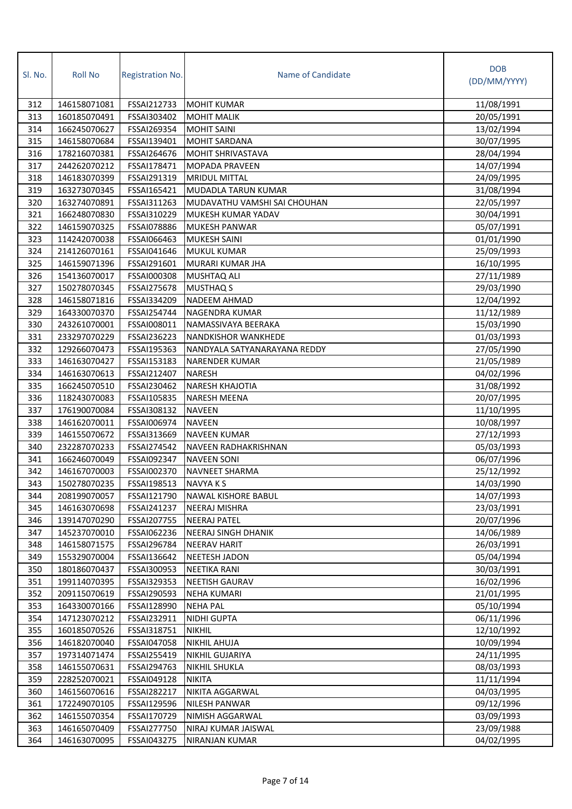| SI. No. | <b>Roll No</b> | <b>Registration No.</b> | Name of Candidate            | <b>DOB</b><br>(DD/MM/YYYY) |
|---------|----------------|-------------------------|------------------------------|----------------------------|
| 312     | 146158071081   | FSSAI212733             | <b>MOHIT KUMAR</b>           | 11/08/1991                 |
| 313     | 160185070491   | FSSAI303402             | <b>MOHIT MALIK</b>           | 20/05/1991                 |
| 314     | 166245070627   | FSSAI269354             | <b>MOHIT SAINI</b>           | 13/02/1994                 |
| 315     | 146158070684   | FSSAI139401             | <b>MOHIT SARDANA</b>         | 30/07/1995                 |
| 316     | 178216070381   | FSSAI264676             | <b>MOHIT SHRIVASTAVA</b>     | 28/04/1994                 |
| 317     | 244262070212   | FSSAI178471             | <b>MOPADA PRAVEEN</b>        | 14/07/1994                 |
| 318     | 146183070399   | FSSAI291319             | <b>MRIDUL MITTAL</b>         | 24/09/1995                 |
| 319     | 163273070345   | FSSAI165421             | MUDADLA TARUN KUMAR          | 31/08/1994                 |
| 320     | 163274070891   | FSSAI311263             | MUDAVATHU VAMSHI SAI CHOUHAN | 22/05/1997                 |
| 321     | 166248070830   | FSSAI310229             | MUKESH KUMAR YADAV           | 30/04/1991                 |
| 322     | 146159070325   | FSSAI078886             | <b>MUKESH PANWAR</b>         | 05/07/1991                 |
| 323     | 114242070038   | FSSAI066463             | <b>MUKESH SAINI</b>          | 01/01/1990                 |
| 324     | 214126070161   | FSSAI041646             | <b>MUKUL KUMAR</b>           | 25/09/1993                 |
| 325     | 146159071396   | FSSAI291601             | MURARI KUMAR JHA             | 16/10/1995                 |
| 326     | 154136070017   | FSSAI000308             | <b>MUSHTAQ ALI</b>           | 27/11/1989                 |
| 327     | 150278070345   | FSSAI275678             | <b>MUSTHAQ S</b>             | 29/03/1990                 |
| 328     | 146158071816   | FSSAI334209             | <b>NADEEM AHMAD</b>          | 12/04/1992                 |
| 329     | 164330070370   | FSSAI254744             | <b>NAGENDRA KUMAR</b>        | 11/12/1989                 |
| 330     | 243261070001   | FSSAI008011             | NAMASSIVAYA BEERAKA          | 15/03/1990                 |
| 331     | 233297070229   | FSSAI236223             | <b>NANDKISHOR WANKHEDE</b>   | 01/03/1993                 |
| 332     | 129266070473   | FSSAI195363             | NANDYALA SATYANARAYANA REDDY | 27/05/1990                 |
| 333     | 146163070427   | FSSAI153183             | <b>NARENDER KUMAR</b>        | 21/05/1989                 |
| 334     | 146163070613   | FSSAI212407             | <b>NARESH</b>                | 04/02/1996                 |
| 335     | 166245070510   | FSSAI230462             | <b>NARESH KHAJOTIA</b>       | 31/08/1992                 |
| 336     | 118243070083   | FSSAI105835             | <b>NARESH MEENA</b>          | 20/07/1995                 |
| 337     | 176190070084   | FSSAI308132             | <b>NAVEEN</b>                | 11/10/1995                 |
| 338     | 146162070011   | FSSAI006974             | <b>NAVEEN</b>                | 10/08/1997                 |
| 339     | 146155070672   | FSSAI313669             | <b>NAVEEN KUMAR</b>          | 27/12/1993                 |
| 340     | 232287070233   | FSSAI274542             | NAVEEN RADHAKRISHNAN         | 05/03/1993                 |
| 341     | 166246070049   | FSSAI092347             | <b>NAVEEN SONI</b>           | 06/07/1996                 |
| 342     | 146167070003   | FSSAI002370             | <b>NAVNEET SHARMA</b>        | 25/12/1992                 |
| 343     | 150278070235   | FSSAI198513             | NAVYA K S                    | 14/03/1990                 |
| 344     | 208199070057   | FSSAI121790             | <b>NAWAL KISHORE BABUL</b>   | 14/07/1993                 |
| 345     | 146163070698   | FSSAI241237             | <b>NEERAJ MISHRA</b>         | 23/03/1991                 |
| 346     | 139147070290   | FSSAI207755             | <b>NEERAJ PATEL</b>          | 20/07/1996                 |
| 347     | 145237070010   | FSSAI062236             | NEERAJ SINGH DHANIK          | 14/06/1989                 |
| 348     | 146158071575   | FSSAI296784             | <b>NEERAV HARIT</b>          | 26/03/1991                 |
| 349     | 155329070004   | FSSAI136642             | <b>NEETESH JADON</b>         | 05/04/1994                 |
| 350     | 180186070437   | FSSAI300953             | NEETIKA RANI                 | 30/03/1991                 |
| 351     | 199114070395   | FSSAI329353             | <b>NEETISH GAURAV</b>        | 16/02/1996                 |
| 352     | 209115070619   | FSSAI290593             | <b>NEHA KUMARI</b>           | 21/01/1995                 |
| 353     | 164330070166   | FSSAI128990             | <b>NEHA PAL</b>              | 05/10/1994                 |
| 354     | 147123070212   | FSSAI232911             | <b>NIDHI GUPTA</b>           | 06/11/1996                 |
| 355     | 160185070526   | FSSAI318751             | <b>NIKHIL</b>                | 12/10/1992                 |
| 356     | 146182070040   | FSSAI047058             | <b>NIKHIL AHUJA</b>          | 10/09/1994                 |
| 357     | 197314071474   | FSSAI255419             | <b>NIKHIL GUJARIYA</b>       | 24/11/1995                 |
| 358     | 146155070631   | FSSAI294763             | <b>NIKHIL SHUKLA</b>         | 08/03/1993                 |
| 359     | 228252070021   | FSSAI049128             | <b>NIKITA</b>                | 11/11/1994                 |
| 360     | 146156070616   | FSSAI282217             | NIKITA AGGARWAL              | 04/03/1995                 |
| 361     | 172249070105   | FSSAI129596             | <b>NILESH PANWAR</b>         | 09/12/1996                 |
| 362     | 146155070354   | FSSAI170729             | NIMISH AGGARWAL              | 03/09/1993                 |
| 363     | 146165070409   | FSSAI277750             | NIRAJ KUMAR JAISWAL          | 23/09/1988                 |
| 364     | 146163070095   | FSSAI043275             | NIRANJAN KUMAR               | 04/02/1995                 |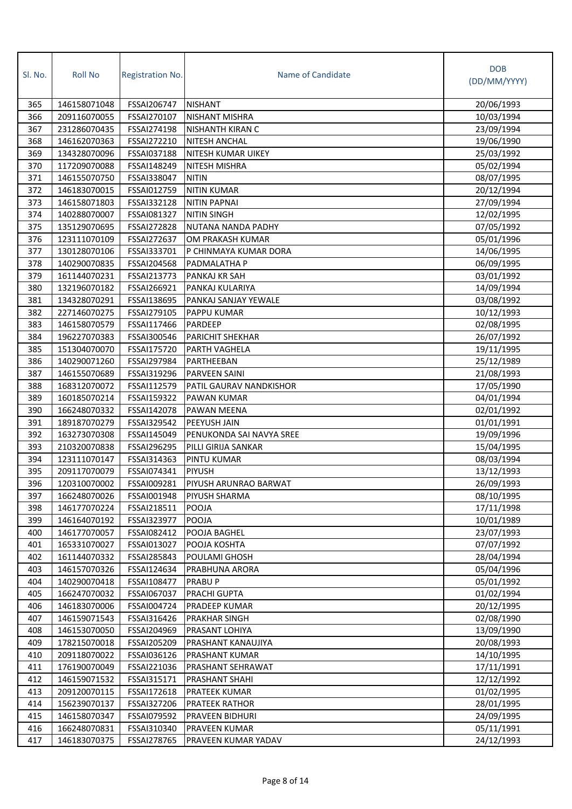| SI. No. | <b>Roll No</b> | Registration No. | Name of Candidate         | <b>DOB</b><br>(DD/MM/YYYY) |
|---------|----------------|------------------|---------------------------|----------------------------|
| 365     | 146158071048   | FSSAI206747      | <b>NISHANT</b>            | 20/06/1993                 |
| 366     | 209116070055   | FSSAI270107      | <b>NISHANT MISHRA</b>     | 10/03/1994                 |
| 367     | 231286070435   | FSSAI274198      | NISHANTH KIRAN C          | 23/09/1994                 |
| 368     | 146162070363   | FSSAI272210      | <b>NITESH ANCHAL</b>      | 19/06/1990                 |
| 369     | 134328070096   | FSSAI037188      | <b>NITESH KUMAR UIKEY</b> | 25/03/1992                 |
| 370     | 117209070088   | FSSAI148249      | NITESH MISHRA             | 05/02/1994                 |
| 371     | 146155070750   | FSSAI338047      | <b>NITIN</b>              | 08/07/1995                 |
| 372     | 146183070015   | FSSAI012759      | <b>NITIN KUMAR</b>        | 20/12/1994                 |
| 373     | 146158071803   | FSSAI332128      | <b>NITIN PAPNAI</b>       | 27/09/1994                 |
| 374     | 140288070007   | FSSAI081327      | <b>NITIN SINGH</b>        | 12/02/1995                 |
| 375     | 135129070695   | FSSAI272828      | NUTANA NANDA PADHY        | 07/05/1992                 |
| 376     | 123111070109   | FSSAI272637      | OM PRAKASH KUMAR          | 05/01/1996                 |
| 377     | 130128070106   | FSSAI333701      | P CHINMAYA KUMAR DORA     | 14/06/1995                 |
| 378     | 140290070835   | FSSAI204568      | PADMALATHA P              | 06/09/1995                 |
| 379     | 161144070231   | FSSAI213773      | PANKAJ KR SAH             | 03/01/1992                 |
| 380     | 132196070182   | FSSAI266921      | PANKAJ KULARIYA           | 14/09/1994                 |
| 381     | 134328070291   | FSSAI138695      | PANKAJ SANJAY YEWALE      | 03/08/1992                 |
| 382     | 227146070275   | FSSAI279105      | <b>PAPPU KUMAR</b>        | 10/12/1993                 |
| 383     | 146158070579   | FSSAI117466      | PARDEEP                   | 02/08/1995                 |
| 384     | 196227070383   | FSSAI300546      | PARICHIT SHEKHAR          | 26/07/1992                 |
| 385     | 151304070070   | FSSAI175720      | PARTH VAGHELA             | 19/11/1995                 |
| 386     | 140290071260   | FSSAI297984      | PARTHEEBAN                | 25/12/1989                 |
| 387     | 146155070689   | FSSAI319296      | PARVEEN SAINI             | 21/08/1993                 |
| 388     | 168312070072   | FSSAI112579      | PATIL GAURAV NANDKISHOR   | 17/05/1990                 |
| 389     | 160185070214   | FSSAI159322      | PAWAN KUMAR               | 04/01/1994                 |
| 390     | 166248070332   | FSSAI142078      | PAWAN MEENA               | 02/01/1992                 |
| 391     | 189187070279   | FSSAI329542      | PEEYUSH JAIN              | 01/01/1991                 |
| 392     | 163273070308   | FSSAI145049      | PENUKONDA SAI NAVYA SREE  | 19/09/1996                 |
| 393     | 210320070838   | FSSAI296295      | PILLI GIRIJA SANKAR       | 15/04/1995                 |
| 394     | 123111070147   | FSSAI314363      | PINTU KUMAR               | 08/03/1994                 |
| 395     | 209117070079   | FSSAI074341      | <b>PIYUSH</b>             | 13/12/1993                 |
| 396     | 120310070002   | FSSAI009281      | PIYUSH ARUNRAO BARWAT     | 26/09/1993                 |
| 397     | 166248070026   | FSSAI001948      | PIYUSH SHARMA             | 08/10/1995                 |
| 398     | 146177070224   | FSSAI218511      | POOJA                     | 17/11/1998                 |
| 399     | 146164070192   | FSSAI323977      | POOJA                     | 10/01/1989                 |
| 400     | 146177070057   | FSSAI082412      | POOJA BAGHEL              | 23/07/1993                 |
| 401     | 165331070027   | FSSAI013027      | POOJA KOSHTA              | 07/07/1992                 |
| 402     | 161144070332   | FSSAI285843      | POULAMI GHOSH             | 28/04/1994                 |
| 403     | 146157070326   | FSSAI124634      | PRABHUNA ARORA            | 05/04/1996                 |
| 404     | 140290070418   | FSSAI108477      | PRABU P                   | 05/01/1992                 |
| 405     | 166247070032   | FSSAI067037      | PRACHI GUPTA              | 01/02/1994                 |
| 406     | 146183070006   | FSSAI004724      | PRADEEP KUMAR             | 20/12/1995                 |
| 407     | 146159071543   | FSSAI316426      | PRAKHAR SINGH             | 02/08/1990                 |
| 408     | 146153070050   | FSSAI204969      | PRASANT LOHIYA            | 13/09/1990                 |
| 409     | 178215070018   | FSSAI205209      | PRASHANT KANAUJIYA        | 20/08/1993                 |
| 410     | 209118070022   | FSSAI036126      | PRASHANT KUMAR            | 14/10/1995                 |
| 411     | 176190070049   | FSSAI221036      | PRASHANT SEHRAWAT         | 17/11/1991                 |
| 412     | 146159071532   | FSSAI315171      | PRASHANT SHAHI            | 12/12/1992                 |
| 413     | 209120070115   | FSSAI172618      | PRATEEK KUMAR             | 01/02/1995                 |
| 414     | 156239070137   | FSSAI327206      | PRATEEK RATHOR            | 28/01/1995                 |
| 415     | 146158070347   | FSSAI079592      | PRAVEEN BIDHURI           | 24/09/1995                 |
| 416     | 166248070831   | FSSAI310340      | PRAVEEN KUMAR             | 05/11/1991                 |
| 417     | 146183070375   | FSSAI278765      | PRAVEEN KUMAR YADAV       | 24/12/1993                 |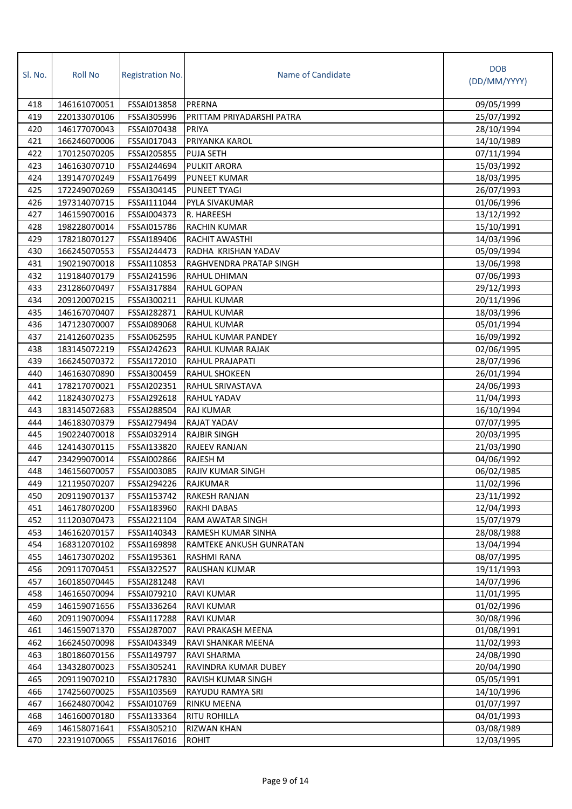| Sl. No.    | <b>Roll No</b>               | <b>Registration No.</b>    | Name of Candidate                           | <b>DOB</b><br>(DD/MM/YYYY) |
|------------|------------------------------|----------------------------|---------------------------------------------|----------------------------|
|            |                              |                            |                                             |                            |
| 418        | 146161070051                 | FSSAI013858                | PRERNA                                      | 09/05/1999                 |
| 419        | 220133070106                 | FSSAI305996                | PRITTAM PRIYADARSHI PATRA                   | 25/07/1992                 |
| 420        | 146177070043                 | FSSAI070438                | PRIYA                                       | 28/10/1994                 |
| 421        | 166246070006                 | FSSAI017043                | PRIYANKA KAROL                              | 14/10/1989                 |
| 422        | 170125070205                 | FSSAI205855                | <b>PUJA SETH</b>                            | 07/11/1994                 |
| 423        | 146163070710                 | FSSAI244694                | <b>PULKIT ARORA</b>                         | 15/03/1992                 |
| 424        | 139147070249                 | FSSAI176499                | <b>PUNEET KUMAR</b>                         | 18/03/1995                 |
| 425        | 172249070269                 | FSSAI304145                | PUNEET TYAGI                                | 26/07/1993                 |
| 426        | 197314070715                 | FSSAI111044                | PYLA SIVAKUMAR                              | 01/06/1996                 |
| 427        | 146159070016                 | FSSAI004373                | R. HAREESH                                  | 13/12/1992                 |
| 428        | 198228070014                 | FSSAI015786                | <b>RACHIN KUMAR</b>                         | 15/10/1991                 |
| 429        | 178218070127                 | FSSAI189406                | RACHIT AWASTHI                              | 14/03/1996                 |
| 430        | 166245070553                 | FSSAI244473                | RADHA KRISHAN YADAV                         | 05/09/1994                 |
| 431        | 190219070018                 | FSSAI110853                | RAGHVENDRA PRATAP SINGH                     | 13/06/1998                 |
| 432        | 119184070179                 | FSSAI241596                | <b>RAHUL DHIMAN</b>                         | 07/06/1993                 |
| 433        | 231286070497                 | FSSAI317884                | <b>RAHUL GOPAN</b>                          | 29/12/1993                 |
| 434        | 209120070215                 | FSSAI300211                | <b>RAHUL KUMAR</b>                          | 20/11/1996                 |
| 435        | 146167070407                 | FSSAI282871                | <b>RAHUL KUMAR</b>                          | 18/03/1996                 |
| 436        | 147123070007                 | FSSAI089068                | <b>RAHUL KUMAR</b>                          | 05/01/1994                 |
| 437        | 214126070235                 | FSSAI062595                | RAHUL KUMAR PANDEY                          | 16/09/1992                 |
| 438        | 183145072219                 | FSSAI242623                | RAHUL KUMAR RAJAK                           | 02/06/1995                 |
| 439        | 166245070372                 | FSSAI172010                | RAHUL PRAJAPATI                             | 28/07/1996                 |
| 440        | 146163070890                 | FSSAI300459                | <b>RAHUL SHOKEEN</b>                        | 26/01/1994                 |
| 441        | 178217070021                 | FSSAI202351                | RAHUL SRIVASTAVA                            | 24/06/1993                 |
| 442        | 118243070273                 | FSSAI292618                | <b>RAHUL YADAV</b>                          | 11/04/1993                 |
| 443        | 183145072683                 | FSSAI288504                | <b>RAJ KUMAR</b>                            | 16/10/1994                 |
| 444        | 146183070379                 | FSSAI279494                | <b>RAJAT YADAV</b>                          | 07/07/1995                 |
| 445<br>446 | 190224070018<br>124143070115 | FSSAI032914                | <b>RAJBIR SINGH</b><br><b>RAJEEV RANJAN</b> | 20/03/1995                 |
| 447        | 234299070014                 | FSSAI133820<br>FSSAI002866 | <b>RAJESH M</b>                             | 21/03/1990<br>04/06/1992   |
| 448        | 146156070057                 | FSSAI003085                | <b>RAJIV KUMAR SINGH</b>                    | 06/02/1985                 |
| 449        | 121195070207                 | FSSAI294226                | RAJKUMAR                                    | 11/02/1996                 |
| 450        | 209119070137                 | FSSAI153742                | <b>RAKESH RANJAN</b>                        | 23/11/1992                 |
| 451        | 146178070200                 | FSSAI183960                | <b>RAKHI DABAS</b>                          | 12/04/1993                 |
| 452        | 111203070473                 | FSSAI221104                | RAM AWATAR SINGH                            | 15/07/1979                 |
| 453        | 146162070157                 | FSSAI140343                | RAMESH KUMAR SINHA                          | 28/08/1988                 |
| 454        | 168312070102                 | FSSAI169898                | RAMTEKE ANKUSH GUNRATAN                     | 13/04/1994                 |
| 455        | 146173070202                 | FSSAI195361                | RASHMI RANA                                 | 08/07/1995                 |
| 456        | 209117070451                 | FSSAI322527                | <b>RAUSHAN KUMAR</b>                        | 19/11/1993                 |
| 457        | 160185070445                 | FSSAI281248                | RAVI                                        | 14/07/1996                 |
| 458        | 146165070094                 | FSSAI079210                | <b>RAVI KUMAR</b>                           | 11/01/1995                 |
| 459        | 146159071656                 | FSSAI336264                | <b>RAVI KUMAR</b>                           | 01/02/1996                 |
| 460        | 209119070094                 | FSSAI117288                | <b>RAVI KUMAR</b>                           | 30/08/1996                 |
| 461        | 146159071370                 | FSSAI287007                | RAVI PRAKASH MEENA                          | 01/08/1991                 |
| 462        | 166245070098                 | FSSAI043349                | RAVI SHANKAR MEENA                          | 11/02/1993                 |
| 463        | 180186070156                 | FSSAI149797                | RAVI SHARMA                                 | 24/08/1990                 |
| 464        | 134328070023                 | FSSAI305241                | RAVINDRA KUMAR DUBEY                        | 20/04/1990                 |
| 465        | 209119070210                 | FSSAI217830                | RAVISH KUMAR SINGH                          | 05/05/1991                 |
| 466        | 174256070025                 | FSSAI103569                | RAYUDU RAMYA SRI                            | 14/10/1996                 |
| 467        | 166248070042                 | FSSAI010769                | RINKU MEENA                                 | 01/07/1997                 |
| 468        | 146160070180                 | FSSAI133364                | <b>RITU ROHILLA</b>                         | 04/01/1993                 |
| 469        | 146158071641                 | FSSAI305210                | <b>RIZWAN KHAN</b>                          | 03/08/1989                 |
| 470        | 223191070065                 | FSSAI176016                | <b>ROHIT</b>                                | 12/03/1995                 |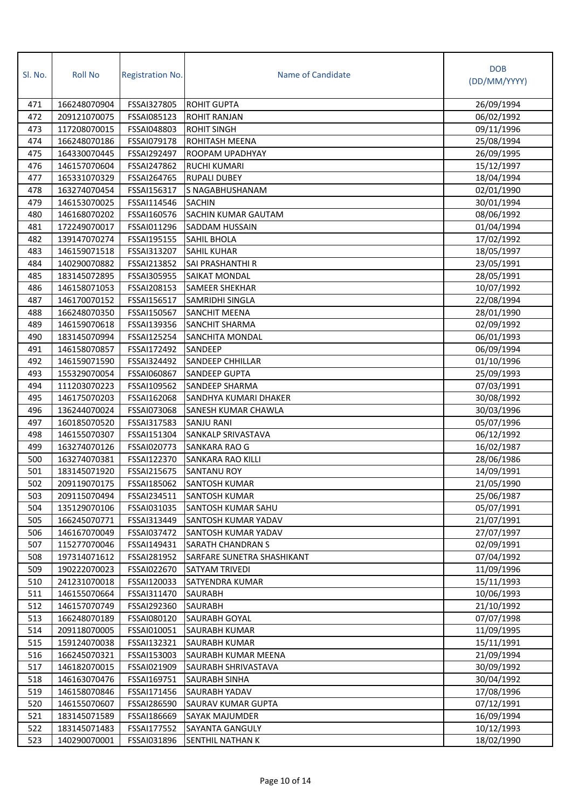| Sl. No. | <b>Roll No</b> | <b>Registration No.</b> | Name of Candidate          | <b>DOB</b><br>(DD/MM/YYYY) |
|---------|----------------|-------------------------|----------------------------|----------------------------|
| 471     | 166248070904   | FSSAI327805             | <b>ROHIT GUPTA</b>         | 26/09/1994                 |
| 472     | 209121070075   | FSSAI085123             | <b>ROHIT RANJAN</b>        | 06/02/1992                 |
| 473     | 117208070015   | FSSAI048803             | <b>ROHIT SINGH</b>         | 09/11/1996                 |
| 474     | 166248070186   | FSSAI079178             | ROHITASH MEENA             | 25/08/1994                 |
| 475     | 164330070445   | FSSAI292497             | ROOPAM UPADHYAY            | 26/09/1995                 |
| 476     | 146157070604   | FSSAI247862             | <b>RUCHI KUMARI</b>        | 15/12/1997                 |
| 477     | 165331070329   | FSSAI264765             | <b>RUPALI DUBEY</b>        | 18/04/1994                 |
| 478     | 163274070454   | FSSAI156317             | S NAGABHUSHANAM            | 02/01/1990                 |
| 479     | 146153070025   | FSSAI114546             | <b>SACHIN</b>              | 30/01/1994                 |
| 480     | 146168070202   | FSSAI160576             | <b>SACHIN KUMAR GAUTAM</b> | 08/06/1992                 |
| 481     | 172249070017   | FSSAI011296             | <b>SADDAM HUSSAIN</b>      | 01/04/1994                 |
| 482     | 139147070274   | FSSAI195155             | SAHIL BHOLA                | 17/02/1992                 |
| 483     | 146159071518   | FSSAI313207             | SAHIL KUHAR                | 18/05/1997                 |
| 484     | 140290070882   | FSSAI213852             | SAI PRASHANTHI R           | 23/05/1991                 |
| 485     | 183145072895   | FSSAI305955             | <b>SAIKAT MONDAL</b>       | 28/05/1991                 |
| 486     | 146158071053   | FSSAI208153             | <b>SAMEER SHEKHAR</b>      | 10/07/1992                 |
| 487     | 146170070152   | FSSAI156517             | <b>SAMRIDHI SINGLA</b>     | 22/08/1994                 |
| 488     | 166248070350   | FSSAI150567             | <b>SANCHIT MEENA</b>       | 28/01/1990                 |
| 489     | 146159070618   | FSSAI139356             | <b>SANCHIT SHARMA</b>      | 02/09/1992                 |
| 490     | 183145070994   | FSSAI125254             | SANCHITA MONDAL            | 06/01/1993                 |
| 491     | 146158070857   | FSSAI172492             | SANDEEP                    | 06/09/1994                 |
| 492     | 146159071590   | FSSAI324492             | <b>SANDEEP CHHILLAR</b>    | 01/10/1996                 |
| 493     | 155329070054   | FSSAI060867             | <b>SANDEEP GUPTA</b>       | 25/09/1993                 |
| 494     | 111203070223   | FSSAI109562             | SANDEEP SHARMA             | 07/03/1991                 |
| 495     | 146175070203   | FSSAI162068             | SANDHYA KUMARI DHAKER      | 30/08/1992                 |
| 496     | 136244070024   | FSSAI073068             | SANESH KUMAR CHAWLA        | 30/03/1996                 |
| 497     | 160185070520   | FSSAI317583             | <b>SANJU RANI</b>          | 05/07/1996                 |
| 498     | 146155070307   | FSSAI151304             | SANKALP SRIVASTAVA         | 06/12/1992                 |
| 499     | 163274070126   | FSSAI020773             | SANKARA RAO G              | 16/02/1987                 |
| 500     | 163274070381   | FSSAI122370             | SANKARA RAO KILLI          | 28/06/1986                 |
| 501     | 183145071920   | FSSAI215675             | <b>SANTANU ROY</b>         | 14/09/1991                 |
| 502     | 209119070175   | FSSAI185062             | SANTOSH KUMAR              | 21/05/1990                 |
| 503     | 209115070494   | FSSAI234511             | <b>SANTOSH KUMAR</b>       | 25/06/1987                 |
| 504     | 135129070106   | FSSAI031035             | SANTOSH KUMAR SAHU         | 05/07/1991                 |
| 505     | 166245070771   | FSSAI313449             | SANTOSH KUMAR YADAV        | 21/07/1991                 |
| 506     | 146167070049   | FSSAI037472             | SANTOSH KUMAR YADAV        | 27/07/1997                 |
| 507     | 115277070046   | FSSAI149431             | SARATH CHANDRAN S          | 02/09/1991                 |
| 508     | 197314071612   | FSSAI281952             | SARFARE SUNETRA SHASHIKANT | 07/04/1992                 |
| 509     | 190222070023   | FSSAI022670             | SATYAM TRIVEDI             | 11/09/1996                 |
| 510     | 241231070018   | FSSAI120033             | <b>SATYENDRA KUMAR</b>     | 15/11/1993                 |
| 511     | 146155070664   | FSSAI311470             | SAURABH                    | 10/06/1993                 |
| 512     | 146157070749   | FSSAI292360             | <b>SAURABH</b>             | 21/10/1992                 |
| 513     | 166248070189   | FSSAI080120             | <b>SAURABH GOYAL</b>       | 07/07/1998                 |
| 514     | 209118070005   | FSSAI010051             | <b>SAURABH KUMAR</b>       | 11/09/1995                 |
| 515     | 159124070038   | FSSAI132321             | SAURABH KUMAR              | 15/11/1991                 |
| 516     | 166245070321   | FSSAI153003             | SAURABH KUMAR MEENA        | 21/09/1994                 |
| 517     | 146182070015   | FSSAI021909             | SAURABH SHRIVASTAVA        | 30/09/1992                 |
| 518     | 146163070476   | FSSAI169751             | <b>SAURABH SINHA</b>       | 30/04/1992                 |
| 519     | 146158070846   | FSSAI171456             | SAURABH YADAV              | 17/08/1996                 |
| 520     | 146155070607   | FSSAI286590             | SAURAV KUMAR GUPTA         | 07/12/1991                 |
| 521     | 183145071589   | FSSAI186669             | SAYAK MAJUMDER             | 16/09/1994                 |
| 522     | 183145071483   | FSSAI177552             | SAYANTA GANGULY            | 10/12/1993                 |
| 523     | 140290070001   | FSSAI031896             | SENTHIL NATHAN K           | 18/02/1990                 |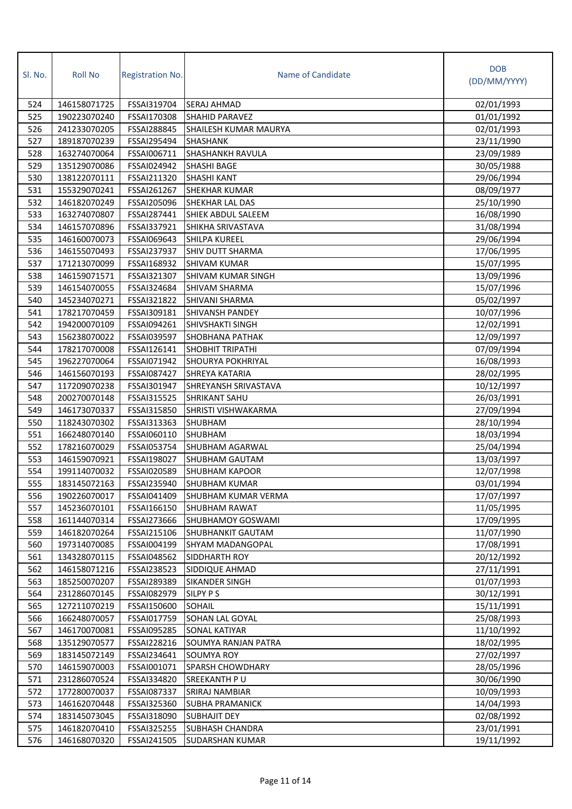| SI. No. | <b>Roll No</b> | Registration No. | Name of Candidate         | <b>DOB</b><br>(DD/MM/YYYY) |
|---------|----------------|------------------|---------------------------|----------------------------|
| 524     | 146158071725   | FSSAI319704      | SERAJ AHMAD               | 02/01/1993                 |
| 525     | 190223070240   | FSSAI170308      | <b>SHAHID PARAVEZ</b>     | 01/01/1992                 |
| 526     | 241233070205   | FSSAI288845      | SHAILESH KUMAR MAURYA     | 02/01/1993                 |
| 527     | 189187070239   | FSSAI295494      | SHASHANK                  | 23/11/1990                 |
| 528     | 163274070064   | FSSAI006711      | SHASHANKH RAVULA          | 23/09/1989                 |
| 529     | 135129070086   | FSSAI024942      | SHASHI BAGE               | 30/05/1988                 |
| 530     | 138122070111   | FSSAI211320      | <b>SHASHI KANT</b>        | 29/06/1994                 |
| 531     | 155329070241   | FSSAI261267      | SHEKHAR KUMAR             | 08/09/1977                 |
| 532     | 146182070249   | FSSAI205096      | SHEKHAR LAL DAS           | 25/10/1990                 |
| 533     | 163274070807   | FSSAI287441      | SHIEK ABDUL SALEEM        | 16/08/1990                 |
| 534     | 146157070896   | FSSAI337921      | SHIKHA SRIVASTAVA         | 31/08/1994                 |
| 535     | 146160070073   | FSSAI069643      | <b>SHILPA KUREEL</b>      | 29/06/1994                 |
| 536     | 146155070493   | FSSAI237937      | SHIV DUTT SHARMA          | 17/06/1995                 |
| 537     | 171213070099   | FSSAI168932      | <b>SHIVAM KUMAR</b>       | 15/07/1995                 |
| 538     | 146159071571   | FSSAI321307      | <b>SHIVAM KUMAR SINGH</b> | 13/09/1996                 |
| 539     | 146154070055   | FSSAI324684      | <b>SHIVAM SHARMA</b>      | 15/07/1996                 |
| 540     | 145234070271   | FSSAI321822      | SHIVANI SHARMA            | 05/02/1997                 |
| 541     | 178217070459   | FSSAI309181      | SHIVANSH PANDEY           | 10/07/1996                 |
| 542     | 194200070109   | FSSAI094261      | SHIVSHAKTI SINGH          | 12/02/1991                 |
| 543     | 156238070022   | FSSAI039597      | SHOBHANA PATHAK           | 12/09/1997                 |
| 544     | 178217070008   | FSSAI126141      | <b>SHOBHIT TRIPATHI</b>   | 07/09/1994                 |
| 545     | 196227070064   | FSSAI071942      | SHOURYA POKHRIYAL         | 16/08/1993                 |
| 546     | 146156070193   | FSSAI087427      | SHREYA KATARIA            | 28/02/1995                 |
| 547     | 117209070238   | FSSAI301947      | SHREYANSH SRIVASTAVA      | 10/12/1997                 |
| 548     | 200270070148   | FSSAI315525      | SHRIKANT SAHU             | 26/03/1991                 |
| 549     | 146173070337   | FSSAI315850      | SHRISTI VISHWAKARMA       | 27/09/1994                 |
| 550     | 118243070302   | FSSAI313363      | SHUBHAM                   | 28/10/1994                 |
| 551     | 166248070140   | FSSAI060110      | <b>SHUBHAM</b>            | 18/03/1994                 |
| 552     | 178216070029   | FSSAI053754      | SHUBHAM AGARWAL           | 25/04/1994                 |
| 553     | 146159070921   | FSSAI198027      | SHUBHAM GAUTAM            | 13/03/1997                 |
| 554     | 199114070032   | FSSAI020589      | <b>SHUBHAM KAPOOR</b>     | 12/07/1998                 |
| 555     | 183145072163   | FSSAI235940      | SHUBHAM KUMAR             | 03/01/1994                 |
| 556     | 190226070017   | FSSAI041409      | SHUBHAM KUMAR VERMA       | 17/07/1997                 |
| 557     | 145236070101   | FSSAI166150      | <b>SHUBHAM RAWAT</b>      | 11/05/1995                 |
| 558     | 161144070314   | FSSAI273666      | <b>SHUBHAMOY GOSWAMI</b>  | 17/09/1995                 |
| 559     | 146182070264   | FSSAI215106      | <b>SHUBHANKIT GAUTAM</b>  | 11/07/1990                 |
| 560     | 197314070085   | FSSAI004199      | SHYAM MADANGOPAL          | 17/08/1991                 |
| 561     | 134328070115   | FSSAI048562      | SIDDHARTH ROY             | 20/12/1992                 |
| 562     | 146158071216   | FSSAI238523      | SIDDIQUE AHMAD            | 27/11/1991                 |
| 563     | 185250070207   | FSSAI289389      | SIKANDER SINGH            | 01/07/1993                 |
| 564     | 231286070145   | FSSAI082979      | <b>SILPY P S</b>          | 30/12/1991                 |
| 565     | 127211070219   | FSSAI150600      | SOHAIL                    | 15/11/1991                 |
| 566     | 166248070057   | FSSAI017759      | <b>SOHAN LAL GOYAL</b>    | 25/08/1993                 |
| 567     | 146170070081   | FSSAI095285      | <b>SONAL KATIYAR</b>      | 11/10/1992                 |
| 568     | 135129070577   | FSSAI228216      | SOUMYA RANJAN PATRA       | 18/02/1995                 |
| 569     | 183145072149   | FSSAI234641      | SOUMYA ROY                | 27/02/1997                 |
| 570     | 146159070003   | FSSAI001071      | SPARSH CHOWDHARY          | 28/05/1996                 |
| 571     | 231286070524   | FSSAI334820      | SREEKANTH PU              | 30/06/1990                 |
| 572     | 177280070037   | FSSAI087337      | SRIRAJ NAMBIAR            | 10/09/1993                 |
| 573     | 146162070448   | FSSAI325360      | <b>SUBHA PRAMANICK</b>    | 14/04/1993                 |
| 574     | 183145073045   | FSSAI318090      | SUBHAJIT DEY              | 02/08/1992                 |
| 575     | 146182070410   | FSSAI325255      | <b>SUBHASH CHANDRA</b>    | 23/01/1991                 |
| 576     | 146168070320   | FSSAI241505      | <b>SUDARSHAN KUMAR</b>    | 19/11/1992                 |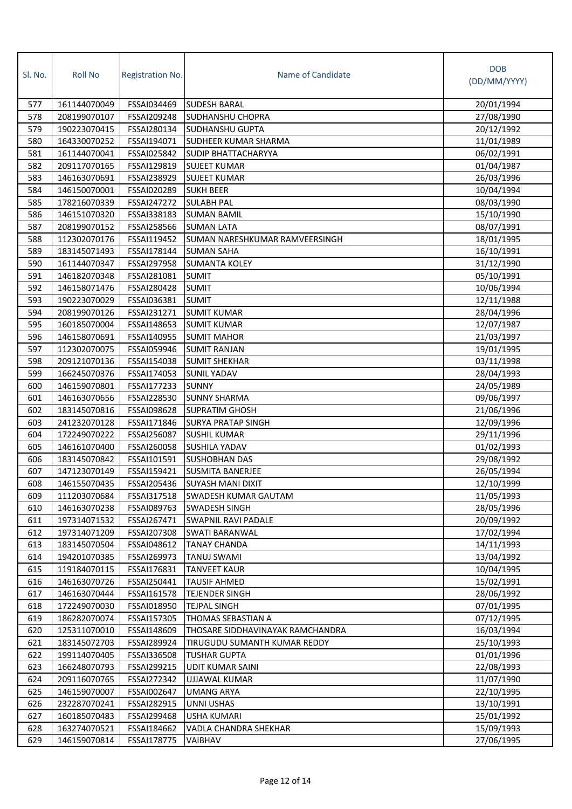| SI. No. | <b>Roll No</b> | Registration No.   | Name of Candidate                | <b>DOB</b><br>(DD/MM/YYYY) |
|---------|----------------|--------------------|----------------------------------|----------------------------|
| 577     | 161144070049   | FSSAI034469        | <b>SUDESH BARAL</b>              | 20/01/1994                 |
| 578     | 208199070107   | <b>FSSAI209248</b> | <b>SUDHANSHU CHOPRA</b>          | 27/08/1990                 |
| 579     | 190223070415   | FSSAI280134        | <b>SUDHANSHU GUPTA</b>           | 20/12/1992                 |
| 580     | 164330070252   | FSSAI194071        | SUDHEER KUMAR SHARMA             | 11/01/1989                 |
| 581     | 161144070041   | FSSAI025842        | <b>SUDIP BHATTACHARYYA</b>       | 06/02/1991                 |
| 582     | 209117070165   | FSSAI129819        | <b>SUJEET KUMAR</b>              | 01/04/1987                 |
| 583     | 146163070691   | FSSAI238929        | <b>SUJEET KUMAR</b>              | 26/03/1996                 |
| 584     | 146150070001   | FSSAI020289        | <b>SUKH BEER</b>                 | 10/04/1994                 |
| 585     | 178216070339   | FSSAI247272        | <b>SULABH PAL</b>                | 08/03/1990                 |
| 586     | 146151070320   | FSSAI338183        | <b>SUMAN BAMIL</b>               | 15/10/1990                 |
| 587     | 208199070152   | FSSAI258566        | <b>SUMAN LATA</b>                | 08/07/1991                 |
| 588     | 112302070176   | FSSAI119452        | SUMAN NARESHKUMAR RAMVEERSINGH   | 18/01/1995                 |
| 589     | 183145071493   | FSSAI178144        | <b>SUMAN SAHA</b>                | 16/10/1991                 |
| 590     | 161144070347   | FSSAI297958        | <b>SUMANTA KOLEY</b>             | 31/12/1990                 |
| 591     | 146182070348   | FSSAI281081        | <b>SUMIT</b>                     | 05/10/1991                 |
| 592     | 146158071476   | FSSAI280428        | <b>SUMIT</b>                     | 10/06/1994                 |
| 593     | 190223070029   | FSSAI036381        | <b>SUMIT</b>                     | 12/11/1988                 |
| 594     | 208199070126   | FSSAI231271        | <b>SUMIT KUMAR</b>               | 28/04/1996                 |
| 595     | 160185070004   | FSSAI148653        | <b>SUMIT KUMAR</b>               | 12/07/1987                 |
| 596     | 146158070691   | FSSAI140955        | <b>SUMIT MAHOR</b>               | 21/03/1997                 |
| 597     | 112302070075   | FSSAI059946        | <b>SUMIT RANJAN</b>              | 19/01/1995                 |
| 598     | 209121070136   | FSSAI154038        | <b>SUMIT SHEKHAR</b>             | 03/11/1998                 |
| 599     | 166245070376   | FSSAI174053        | <b>SUNIL YADAV</b>               | 28/04/1993                 |
| 600     | 146159070801   | FSSAI177233        | <b>SUNNY</b>                     | 24/05/1989                 |
| 601     | 146163070656   | FSSAI228530        | <b>SUNNY SHARMA</b>              | 09/06/1997                 |
| 602     | 183145070816   | FSSAI098628        | <b>SUPRATIM GHOSH</b>            | 21/06/1996                 |
| 603     | 241232070128   | FSSAI171846        | <b>SURYA PRATAP SINGH</b>        | 12/09/1996                 |
| 604     | 172249070222   | FSSAI256087        | <b>SUSHIL KUMAR</b>              | 29/11/1996                 |
| 605     | 146161070400   | FSSAI260058        | SUSHILA YADAV                    | 01/02/1993                 |
| 606     | 183145070842   | FSSAI101591        | <b>SUSHOBHAN DAS</b>             | 29/08/1992                 |
| 607     | 147123070149   | FSSAI159421        | <b>SUSMITA BANERJEE</b>          | 26/05/1994                 |
| 608     | 146155070435   | FSSAI205436        | SUYASH MANI DIXIT                | 12/10/1999                 |
| 609     | 111203070684   | FSSAI317518        | SWADESH KUMAR GAUTAM             | 11/05/1993                 |
| 610     | 146163070238   | FSSAI089763        | SWADESH SINGH                    | 28/05/1996                 |
| 611     | 197314071532   | FSSAI267471        | <b>SWAPNIL RAVI PADALE</b>       | 20/09/1992                 |
| 612     | 197314071209   | FSSAI207308        | <b>SWATI BARANWAL</b>            | 17/02/1994                 |
| 613     | 183145070504   | FSSAI048612        | <b>TANAY CHANDA</b>              | 14/11/1993                 |
| 614     | 194201070385   | FSSAI269973        | TANUJ SWAMI                      | 13/04/1992                 |
| 615     | 119184070115   | FSSAI176831        | <b>TANVEET KAUR</b>              | 10/04/1995                 |
| 616     | 146163070726   | FSSAI250441        | <b>TAUSIF AHMED</b>              | 15/02/1991                 |
| 617     | 146163070444   | FSSAI161578        | <b>TEJENDER SINGH</b>            | 28/06/1992                 |
| 618     | 172249070030   | FSSAI018950        | <b>TEJPAL SINGH</b>              | 07/01/1995                 |
| 619     | 186282070074   | FSSAI157305        | THOMAS SEBASTIAN A               | 07/12/1995                 |
| 620     | 125311070010   | FSSAI148609        | THOSARE SIDDHAVINAYAK RAMCHANDRA | 16/03/1994                 |
| 621     | 183145072703   | FSSAI289924        | TIRUGUDU SUMANTH KUMAR REDDY     | 25/10/1993                 |
| 622     | 199114070405   | FSSAI336508        | <b>TUSHAR GUPTA</b>              | 01/01/1996                 |
| 623     | 166248070793   | FSSAI299215        | UDIT KUMAR SAINI                 | 22/08/1993                 |
| 624     | 209116070765   | FSSAI272342        | UJJAWAL KUMAR                    | 11/07/1990                 |
| 625     | 146159070007   | FSSAI002647        | <b>UMANG ARYA</b>                | 22/10/1995                 |
| 626     | 232287070241   | FSSAI282915        | UNNI USHAS                       | 13/10/1991                 |
| 627     | 160185070483   | FSSAI299468        | <b>USHA KUMARI</b>               | 25/01/1992                 |
| 628     | 163274070521   | FSSAI184662        | VADLA CHANDRA SHEKHAR            | 15/09/1993                 |
| 629     | 146159070814   | FSSAI178775        | VAIBHAV                          | 27/06/1995                 |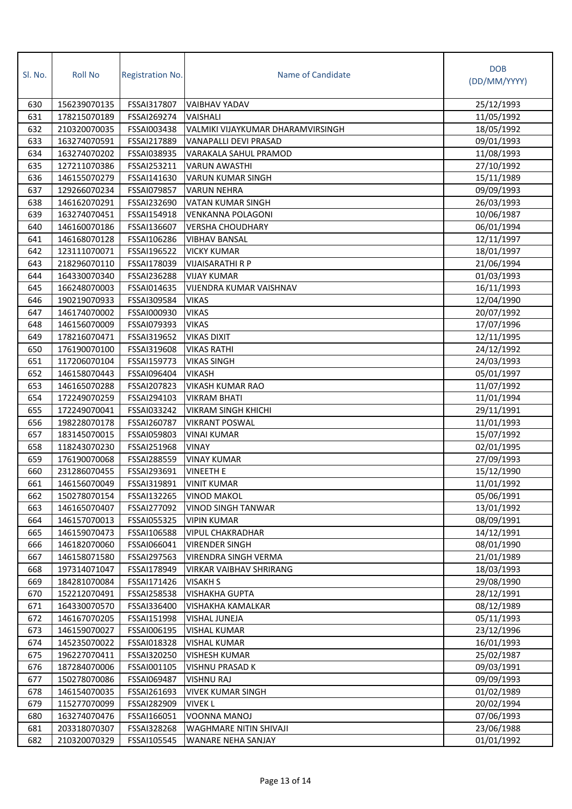| SI. No.    | <b>Roll No</b>               | <b>Registration No.</b>    | Name of Candidate                      | <b>DOB</b><br>(DD/MM/YYYY) |
|------------|------------------------------|----------------------------|----------------------------------------|----------------------------|
| 630        | 156239070135                 | FSSAI317807                | VAIBHAV YADAV                          | 25/12/1993                 |
| 631        | 178215070189                 | FSSAI269274                | VAISHALI                               | 11/05/1992                 |
| 632        | 210320070035                 | FSSAI003438                | VALMIKI VIJAYKUMAR DHARAMVIRSINGH      | 18/05/1992                 |
| 633        | 163274070591                 | FSSAI217889                | VANAPALLI DEVI PRASAD                  | 09/01/1993                 |
| 634        | 163274070202                 | FSSAI038935                | VARAKALA SAHUL PRAMOD                  | 11/08/1993                 |
| 635        | 127211070386                 | FSSAI253211                | <b>VARUN AWASTHI</b>                   | 27/10/1992                 |
| 636        | 146155070279                 | FSSAI141630                | <b>VARUN KUMAR SINGH</b>               | 15/11/1989                 |
| 637        | 129266070234                 | FSSAI079857                | <b>VARUN NEHRA</b>                     | 09/09/1993                 |
| 638        | 146162070291                 | FSSAI232690                | VATAN KUMAR SINGH                      | 26/03/1993                 |
| 639        | 163274070451                 | FSSAI154918                | <b>VENKANNA POLAGONI</b>               | 10/06/1987                 |
| 640        | 146160070186                 | FSSAI136607                | <b>VERSHA CHOUDHARY</b>                | 06/01/1994                 |
| 641        | 146168070128                 | FSSAI106286                | <b>VIBHAV BANSAL</b>                   | 12/11/1997                 |
| 642        | 123111070071                 | FSSAI196522                | <b>VICKY KUMAR</b>                     | 18/01/1997                 |
| 643        | 218296070110                 | FSSAI178039                | VIJAISARATHI R P                       | 21/06/1994                 |
| 644        | 164330070340                 | FSSAI236288                | <b>VIJAY KUMAR</b>                     | 01/03/1993                 |
| 645        | 166248070003                 | FSSAI014635                | VIJENDRA KUMAR VAISHNAV                | 16/11/1993                 |
| 646        | 190219070933                 | FSSAI309584                | <b>VIKAS</b>                           | 12/04/1990                 |
| 647        | 146174070002                 | FSSAI000930                | <b>VIKAS</b>                           | 20/07/1992                 |
| 648        | 146156070009                 | FSSAI079393                | <b>VIKAS</b>                           | 17/07/1996                 |
| 649        | 178216070471                 | FSSAI319652                | <b>VIKAS DIXIT</b>                     | 12/11/1995                 |
| 650        | 176190070100                 | FSSAI319608                | <b>VIKAS RATHI</b>                     | 24/12/1992                 |
| 651        | 117206070104                 | FSSAI159773                | <b>VIKAS SINGH</b>                     | 24/03/1993                 |
| 652        | 146158070443                 | FSSAI096404                | <b>VIKASH</b>                          | 05/01/1997                 |
| 653        | 146165070288                 | FSSAI207823                | <b>VIKASH KUMAR RAO</b>                | 11/07/1992                 |
| 654        | 172249070259                 | FSSAI294103                | <b>VIKRAM BHATI</b>                    | 11/01/1994                 |
| 655        | 172249070041                 | FSSAI033242                | <b>VIKRAM SINGH KHICHI</b>             | 29/11/1991                 |
| 656        | 198228070178                 | FSSAI260787                | <b>VIKRANT POSWAL</b>                  | 11/01/1993                 |
| 657        | 183145070015                 | FSSAI059803                | <b>VINAI KUMAR</b>                     | 15/07/1992                 |
| 658        | 118243070230                 | FSSAI251968                | <b>VINAY</b>                           | 02/01/1995                 |
| 659        | 176190070068                 | FSSAI288559                | <b>VINAY KUMAR</b>                     | 27/09/1993                 |
| 660        | 231286070455                 | FSSAI293691                | <b>VINEETH E</b>                       | 15/12/1990                 |
| 661        | 146156070049                 | FSSAI319891                | <b>VINIT KUMAR</b>                     | 11/01/1992                 |
| 662        | 150278070154                 | FSSAI132265                | <b>VINOD MAKOL</b>                     | 05/06/1991                 |
| 663        | 146165070407                 | FSSAI277092                | <b>VINOD SINGH TANWAR</b>              | 13/01/1992                 |
| 664        | 146157070013                 | FSSAI055325                | <b>VIPIN KUMAR</b>                     | 08/09/1991                 |
| 665        | 146159070473                 | FSSAI106588                | <b>VIPUL CHAKRADHAR</b>                | 14/12/1991                 |
| 666        | 146182070060                 | FSSAI066041                | <b>VIRENDER SINGH</b>                  | 08/01/1990                 |
| 667        | 146158071580                 | FSSAI297563                | VIRENDRA SINGH VERMA                   | 21/01/1989                 |
| 668        | 197314071047                 | FSSAI178949                | <b>VIRKAR VAIBHAV SHRIRANG</b>         | 18/03/1993                 |
| 669        | 184281070084                 | FSSAI171426                | <b>VISAKH S</b>                        | 29/08/1990                 |
| 670        | 152212070491                 | FSSAI258538                | <b>VISHAKHA GUPTA</b>                  | 28/12/1991                 |
| 671        | 164330070570                 | FSSAI336400                | VISHAKHA KAMALKAR                      | 08/12/1989                 |
| 672        | 146167070205                 | FSSAI151998                | VISHAL JUNEJA                          | 05/11/1993                 |
| 673        | 146159070027                 | FSSAI006195                | <b>VISHAL KUMAR</b>                    | 23/12/1996                 |
| 674        | 145235070022                 | FSSAI018328                | <b>VISHAL KUMAR</b>                    | 16/01/1993                 |
| 675        | 196227070411                 | FSSAI320250                | <b>VISHESH KUMAR</b>                   | 25/02/1987                 |
| 676        | 187284070006                 | FSSAI001105                | VISHNU PRASAD K                        | 09/03/1991                 |
| 677<br>678 | 150278070086<br>146154070035 | FSSAI069487<br>FSSAI261693 | VISHNU RAJ<br><b>VIVEK KUMAR SINGH</b> | 09/09/1993<br>01/02/1989   |
| 679        | 115277070099                 | FSSAI282909                | <b>VIVEK L</b>                         | 20/02/1994                 |
| 680        | 163274070476                 | FSSAI166051                | VOONNA MANOJ                           | 07/06/1993                 |
| 681        | 203318070307                 | FSSAI328268                | WAGHMARE NITIN SHIVAJI                 | 23/06/1988                 |
| 682        | 210320070329                 | FSSAI105545                | WANARE NEHA SANJAY                     | 01/01/1992                 |
|            |                              |                            |                                        |                            |